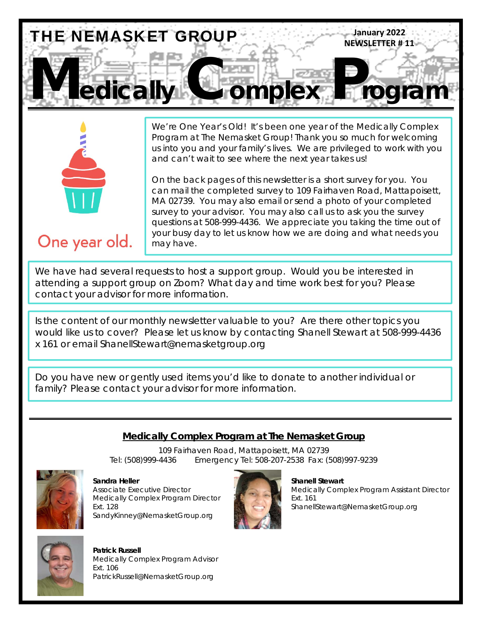



We're One Year's Old! It's been one year of the Medically Complex Program at The Nemasket Group! Thank you so much for welcoming us into you and your family's lives. We are privileged to work with you and can't wait to see where the next year takes us!

On the back pages of this newsletter is a short survey for you. You can mail the completed survey to 109 Fairhaven Road, Mattapoisett, MA 02739. You may also email or send a photo of your completed survey to your advisor. You may also call us to ask you the survey questions at 508-999-4436. We appreciate you taking the time out of your busy day to let us know how we are doing and what needs you may have.

## One year old.

We have had several requests to host a support group. Would you be interested in attending a support group on Zoom? What day and time work best for you? Please contact your advisor for more information.

Is the content of our monthly newsletter valuable to you? Are there other topics you would like us to cover? Please let us know by contacting Shanell Stewart at 508-999-4436 x 161 or email ShanellStewart@nemasketgroup.org

Do you have new or gently used items you'd like to donate to another individual or family? Please contact your advisor for more information.

#### **Medically Complex Program at The Nemasket Group**

109 Fairhaven Road, Mattapoisett, MA 02739 Tel: (508)999-4436 Emergency Tel: 508-207-2538 Fax: (508)997-9239



**Sandra Heller** Shanell Stewart **Shanell Stewart** Medically Complex Program Director **Ext. 161** Ext. 161 SandyKinney@NemasketGroup.org



Associate Executive Director Medically Complex Program Assistant Director Ext. 128 ShanellStewart@NemasketGroup.org



 **Patrick Russell** Medically Complex Program Advisor Ext. 106 PatrickRussell@NemasketGroup.org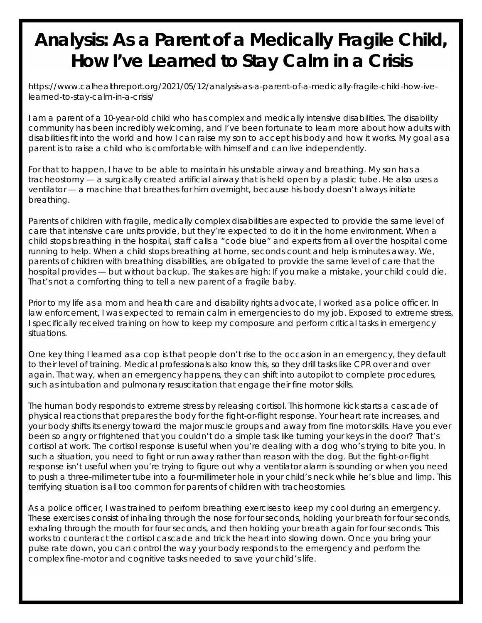## **Analysis: As a Parent of a Medically Fragile Child, How I've Learned to Stay Calm in a Crisis**

https://www.calhealthreport.org/2021/05/12/analysis-as-a-parent-of-a-medically-fragile-child-how-ivelearned-to-stay-calm-in-a-crisis/

I am a parent of a 10-year-old child who has complex and medically intensive disabilities. The disability community has been incredibly welcoming, and I've been fortunate to learn more about how adults with disabilities fit into the world and how I can raise my son to accept his body and how it works. My goal as a parent is to raise a child who is comfortable with himself and can live independently.

For that to happen, I have to be able to maintain his unstable airway and breathing. My son has a tracheostomy — a surgically created artificial airway that is held open by a plastic tube. He also uses a ventilator — a machine that breathes for him overnight, because his body doesn't always initiate breathing.

Parents of children with fragile, medically complex disabilities are expected to provide the same level of care that intensive care units provide, but they're expected to do it in the home environment. When a child stops breathing in the hospital, staff calls a "code blue" and experts from all over the hospital come running to help. When a child stops breathing at home, seconds count and help is minutes away. We, parents of children with breathing disabilities, are obligated to provide the same level of care that the hospital provides — but without backup. The stakes are high: If you make a mistake, your child could die. That's not a comforting thing to tell a new parent of a fragile baby.

Prior to my life as a mom and health care and disability rights advocate, I worked as a police officer. In law enforcement, I was expected to remain calm in emergencies to do my job. Exposed to extreme stress, I specifically received training on how to keep my composure and perform critical tasks in emergency situations.

One key thing I learned as a cop is that people don't rise to the occasion in an emergency, they default to their level of training. Medical professionals also know this, so they drill tasks like CPR over and over again. That way, when an emergency happens, they can shift into autopilot to complete procedures, such as intubation and pulmonary resuscitation that engage their fine motor skills.

The human body responds to extreme stress by releasing cortisol. This hormone kick starts a cascade of physical reactions that prepares the body for the fight-or-flight response. Your heart rate increases, and your body shifts its energy toward the major muscle groups and away from fine motor skills. Have you ever been so angry or frightened that you couldn't do a simple task like turning your keys in the door? That's cortisol at work. The cortisol response is useful when you're dealing with a dog who's trying to bite you. In such a situation, you need to fight or run away rather than reason with the dog. But the fight-or-flight response isn't useful when you're trying to figure out why a ventilator alarm is sounding or when you need to push a three-millimeter tube into a four-millimeter hole in your child's neck while he's blue and limp. This terrifying situation is all too common for parents of children with tracheostomies.

As a police officer, I was trained to perform breathing exercises to keep my cool during an emergency. These exercises consist of inhaling through the nose for four seconds, holding your breath for four seconds, exhaling through the mouth for four seconds, and then holding your breath again for four seconds. This works to counteract the cortisol cascade and trick the heart into slowing down. Once you bring your pulse rate down, you can control the way your body responds to the emergency and perform the complex fine-motor and cognitive tasks needed to save your child's life.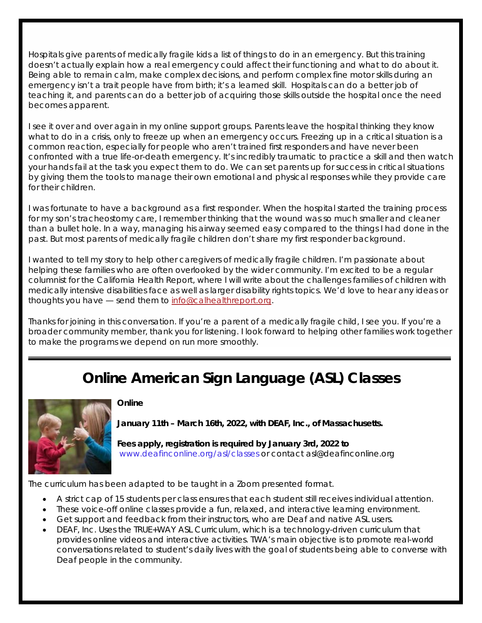Hospitals give parents of medically fragile kids a list of things to do in an emergency. But this training doesn't actually explain how a real emergency could affect their functioning and what to do about it. Being able to remain calm, make complex decisions, and perform complex fine motor skills during an emergency isn't a trait people have from birth; it's a learned skill. Hospitals can do a better job of teaching it, and parents can do a better job of acquiring those skills outside the hospital once the need becomes apparent.

I see it over and over again in my online support groups. Parents leave the hospital thinking they know what to do in a crisis, only to freeze up when an emergency occurs. Freezing up in a critical situation is a common reaction, especially for people who aren't trained first responders and have never been confronted with a true life-or-death emergency. It's incredibly traumatic to practice a skill and then watch your hands fail at the task you expect them to do. We can set parents up for success in critical situations by giving them the tools to manage their own emotional and physical responses while they provide care for their children.

I was fortunate to have a background as a first responder. When the hospital started the training process for my son's tracheostomy care, I remember thinking that the wound was so much smaller and cleaner than a bullet hole. In a way, managing his airway seemed easy compared to the things I had done in the past. But most parents of medically fragile children don't share my first responder background.

I wanted to tell my story to help other caregivers of medically fragile children. I'm passionate about helping these families who are often overlooked by the wider community. I'm excited to be a regular columnist for the California Health Report, where I will write about the challenges families of children with medically intensive disabilities face as well as larger disability rights topics. We'd love to hear any ideas or thoughts you have — send them to info@calhealthreport.org.

Thanks for joining in this conversation. If you're a parent of a medically fragile child, I see you. If you're a broader community member, thank you for listening. I look forward to helping other families work together to make the programs we depend on run more smoothly.

## **Online American Sign Language (ASL) Classes**



#### **Online**

**January 11th – March 16th, 2022, with DEAF, Inc., of Massachusetts.** 

**Fees apply, registration is required by January 3rd, 2022 to**  www.deafinconline.org/asl/classes or contact asl@deafinconline.org

The curriculum has been adapted to be taught in a Zoom presented format.

- A strict cap of 15 students per class ensures that each student still receives individual attention.
- These voice-off online classes provide a fun, relaxed, and interactive learning environment.
- Get support and feedback from their instructors, who are Deaf and native ASL users.
- DEAF, Inc. Uses the TRUE+WAY ASL Curriculum, which is a technology-driven curriculum that provides online videos and interactive activities. TWA's main objective is to promote real-world conversations related to student's daily lives with the goal of students being able to converse with Deaf people in the community.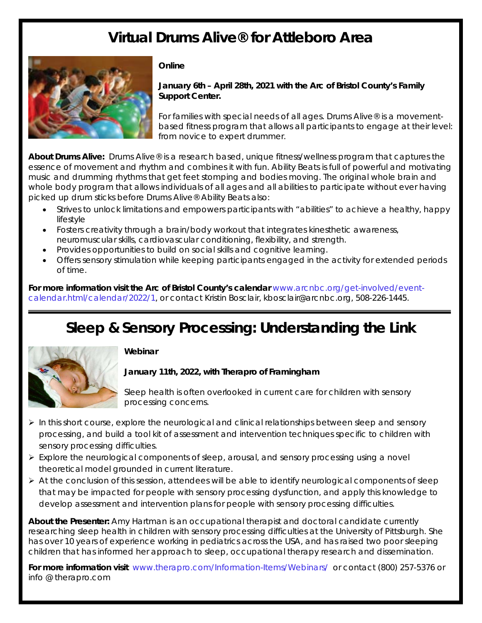## **Virtual Drums Alive® for Attleboro Area**



#### **Online**

**January 6th – April 28th, 2021 with the Arc of Bristol County's Family Support Center.** 

For families with special needs of all ages. Drums Alive® is a movementbased fitness program that allows all participants to engage at their level: from novice to expert drummer.

**About Drums Alive:** Drums Alive® is a research based, unique fitness/wellness program that captures the essence of movement and rhythm and combines it with fun. Ability Beats is full of powerful and motivating music and drumming rhythms that get feet stomping and bodies moving. The original whole brain and whole body program that allows individuals of all ages and all abilities to participate without ever having picked up drum sticks before Drums Alive® Ability Beats also:

- Strives to unlock limitations and empowers participants with "abilities" to achieve a healthy, happy lifestyle
- Fosters creativity through a brain/body workout that integrates kinesthetic awareness, neuromuscular skills, cardiovascular conditioning, flexibility, and strength.
- Provides opportunities to build on social skills and cognitive learning.
- Offers sensory stimulation while keeping participants engaged in the activity for extended periods of time.

**For more information visit the Arc of Bristol County's calendar** www.arcnbc.org/get-involved/eventcalendar.html/calendar/2022/1, or contact Kristin Bosclair, kbosclair@arcnbc.org, 508-226-1445.

## **Sleep & Sensory Processing: Understanding the Link**



#### **Webinar**

#### **January 11th, 2022, with Therapro of Framingham**

Sleep health is often overlooked in current care for children with sensory processing concerns.

- $\triangleright$  In this short course, explore the neurological and clinical relationships between sleep and sensory processing, and build a tool kit of assessment and intervention techniques specific to children with sensory processing difficulties.
- $\triangleright$  Explore the neurological components of sleep, arousal, and sensory processing using a novel theoretical model grounded in current literature.
- $\triangleright$  At the conclusion of this session, attendees will be able to identify neurological components of sleep that may be impacted for people with sensory processing dysfunction, and apply this knowledge to develop assessment and intervention plans for people with sensory processing difficulties.

**About the Presenter:** Amy Hartman is an occupational therapist and doctoral candidate currently researching sleep health in children with sensory processing difficulties at the University of Pittsburgh. She has over 10 years of experience working in pediatrics across the USA, and has raised two poor sleeping children that has informed her approach to sleep, occupational therapy research and dissemination.

**For more information visit** www.therapro.com/Information-Items/Webinars/ or contact (800) 257-5376 or info @ therapro.com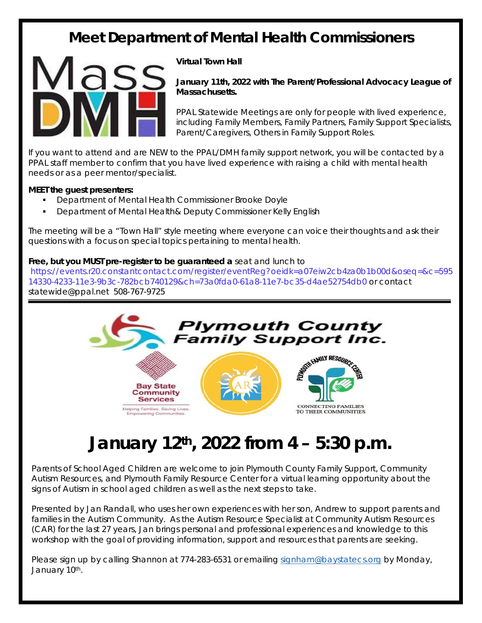## **Meet Department of Mental Health Commissioners**



#### **Virtual Town Hall**

**January 11th, 2022 with The Parent/Professional Advocacy League of Massachusetts.** 

PPAL Statewide Meetings are only for people with lived experience, including Family Members, Family Partners, Family Support Specialists, Parent/Caregivers, Others in Family Support Roles.

If you want to attend and are NEW to the PPAL/DMH family support network, you will be contacted by a PPAL staff member to confirm that you have lived experience with raising a child with mental health needs or as a peer mentor/specialist.

#### **MEET the guest presenters:**

- Department of Mental Health Commissioner Brooke Doyle
- Department of Mental Health& Deputy Commissioner Kelly English

The meeting will be a "Town Hall" style meeting where everyone can voice their thoughts and ask their questions with a focus on special topics pertaining to mental health.

#### **Free, but you MUST pre-register to be guaranteed a** seat and lunch to

https://events.r20.constantcontact.com/register/eventReg?oeidk=a07eiw2cb4za0b1b00d&oseq=&c=595 14330-4233-11e3-9b3c-782bcb740129&ch=73a0fda0-61a8-11e7-bc35-d4ae52754db0 or contact statewide@ppal.net 508-767-9725



# **January 12th, 2022 from 4 – 5:30 p.m.**

Parents of School Aged Children are welcome to join Plymouth County Family Support, Community Autism Resources, and Plymouth Family Resource Center for a virtual learning opportunity about the signs of Autism in school aged children as well as the next steps to take.

Presented by Jan Randall, who uses her own experiences with her son, Andrew to support parents and families in the Autism Community. As the Autism Resource Specialist at Community Autism Resources (CAR) for the last 27 years, Jan brings personal and professional experiences and knowledge to this workshop with the goal of providing information, support and resources that parents are seeking.

Please sign up by calling Shannon at 774-283-6531 or emailing signham@baystatecs.org by Monday, January 10th.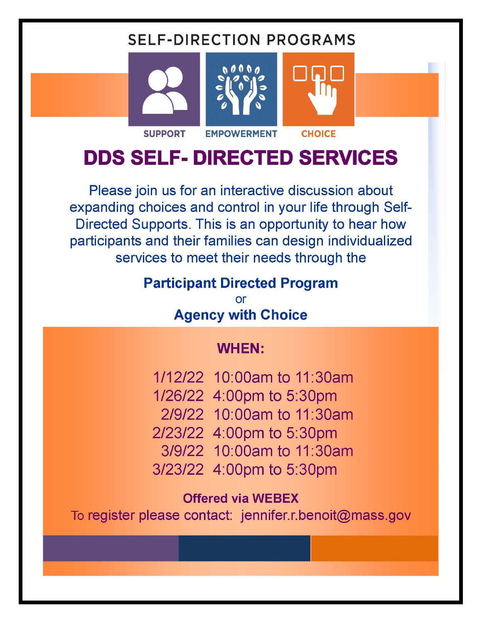## **SELF-DIRECTION PROGRAMS**







In

# **DDS SELF- DIRECTED SERVICES**

**EMPOWERMENT** 

Please join us for an interactive discussion about expanding choices and control in your life through Self-Directed Supports. This is an opportunity to hear how participants and their families can design individualized services to meet their needs through the

### **Participant Directed Program**

or **Agency with Choice** 

## **WHEN:**

1/12/22 10:00am to 11:30am 1/26/22 4:00pm to 5:30pm 2/9/22 10:00am to 11:30am 2/23/22 4:00pm to 5:30pm 3/9/22 10:00am to 11:30am 3/23/22 4:00pm to 5:30pm

### **Offered via WEBEX**

To register please contact: jennifer.r.benoit@mass.gov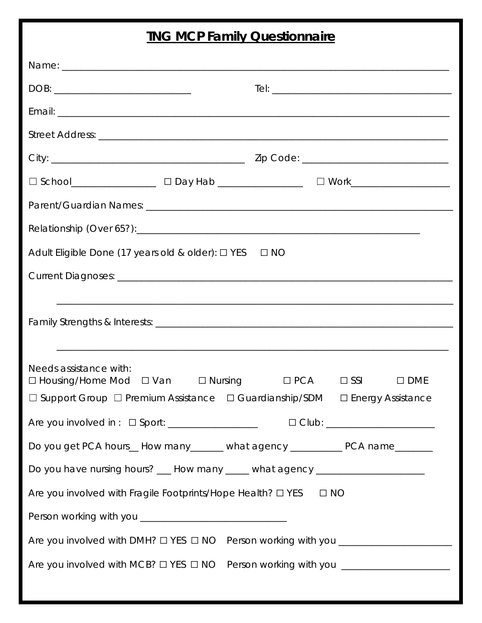### **TNG MCP Family Questionnaire**

| Adult Eligible Done (17 years old & older): □ YES<br>$\square$ NO                 |                                           |  |
|-----------------------------------------------------------------------------------|-------------------------------------------|--|
|                                                                                   |                                           |  |
|                                                                                   |                                           |  |
| Needs assistance with:<br>$\Box$ Nursing<br>$\Box$ Housing/Home Mod $\Box$ Van    | $\Box$ SSI<br>$\Box$ PCA<br>$\square$ DME |  |
| □ Support Group □ Premium Assistance □ Guardianship/SDM □ Energy Assistance       |                                           |  |
| Are you involved in : □ Sport: ____________________   □ Club: __________________  |                                           |  |
| Do you get PCA hours__How many_______ what agency ___________ PCA name________    |                                           |  |
| Do you have nursing hours? ___ How many _____ what agency ______________________  |                                           |  |
| Are you involved with Fragile Footprints/Hope Health? O YES<br>$\Box$ NO          |                                           |  |
|                                                                                   |                                           |  |
| Are you involved with DMH? O YES O NO Person working with you ___________________ |                                           |  |
| Are you involved with MCB? O YES O NO Person working with you ___________________ |                                           |  |
|                                                                                   |                                           |  |